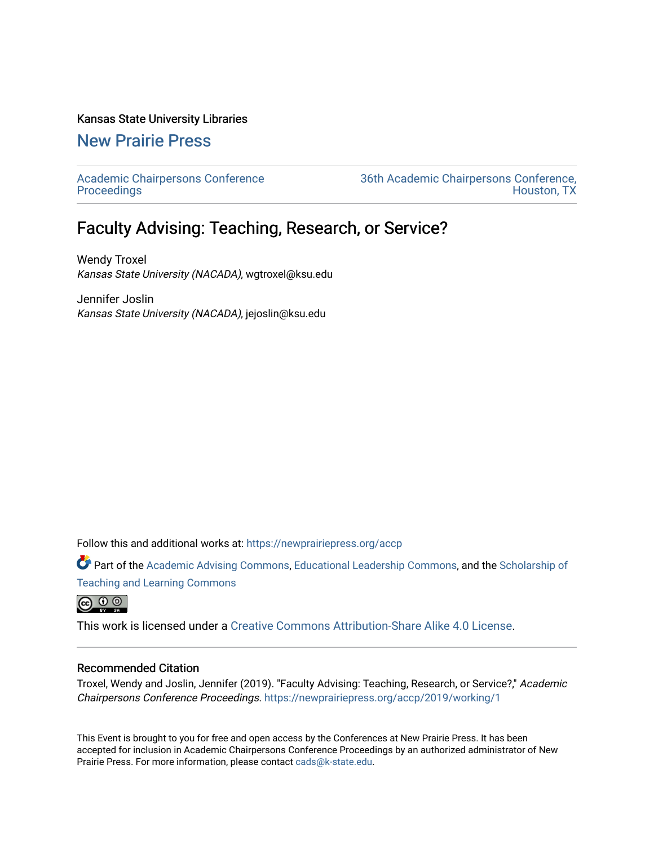#### Kansas State University Libraries

## [New Prairie Press](https://newprairiepress.org/)

[Academic Chairpersons Conference](https://newprairiepress.org/accp)  **Proceedings** 

[36th Academic Chairpersons Conference,](https://newprairiepress.org/accp/2019)  [Houston, TX](https://newprairiepress.org/accp/2019) 

# Faculty Advising: Teaching, Research, or Service?

Wendy Troxel Kansas State University (NACADA), wgtroxel@ksu.edu

Jennifer Joslin Kansas State University (NACADA), jejoslin@ksu.edu

Follow this and additional works at: [https://newprairiepress.org/accp](https://newprairiepress.org/accp?utm_source=newprairiepress.org%2Faccp%2F2019%2Fworking%2F1&utm_medium=PDF&utm_campaign=PDFCoverPages) 

Part of the [Academic Advising Commons](http://network.bepress.com/hgg/discipline/1403?utm_source=newprairiepress.org%2Faccp%2F2019%2Fworking%2F1&utm_medium=PDF&utm_campaign=PDFCoverPages), [Educational Leadership Commons,](http://network.bepress.com/hgg/discipline/1230?utm_source=newprairiepress.org%2Faccp%2F2019%2Fworking%2F1&utm_medium=PDF&utm_campaign=PDFCoverPages) and the Scholarship of [Teaching and Learning Commons](http://network.bepress.com/hgg/discipline/1328?utm_source=newprairiepress.org%2Faccp%2F2019%2Fworking%2F1&utm_medium=PDF&utm_campaign=PDFCoverPages)

<u>ෙ ගෙ</u>

This work is licensed under a [Creative Commons Attribution-Share Alike 4.0 License.](https://creativecommons.org/licenses/by-sa/4.0/)

#### Recommended Citation

Troxel, Wendy and Joslin, Jennifer (2019). "Faculty Advising: Teaching, Research, or Service?," Academic Chairpersons Conference Proceedings. <https://newprairiepress.org/accp/2019/working/1>

This Event is brought to you for free and open access by the Conferences at New Prairie Press. It has been accepted for inclusion in Academic Chairpersons Conference Proceedings by an authorized administrator of New Prairie Press. For more information, please contact [cads@k-state.edu.](mailto:cads@k-state.edu)